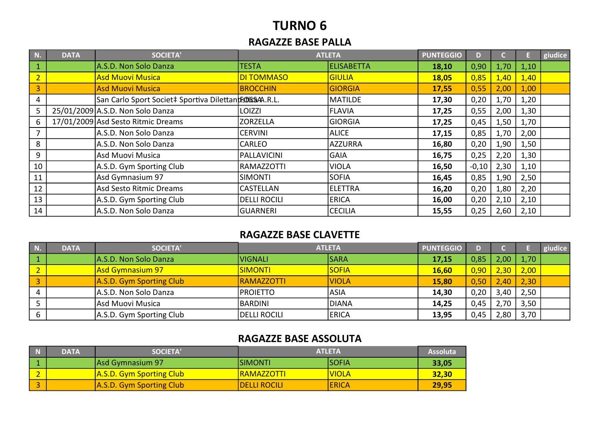## TURNO 6

#### RAGAZZE BASE PALLA

| N.             | <b>DATA</b> | <b>SOCIETA'</b>                                         |                   | <b>ATLETA</b>     | <b>PUNTEGGIO</b> | D.      |      |      | giudice |
|----------------|-------------|---------------------------------------------------------|-------------------|-------------------|------------------|---------|------|------|---------|
| $\mathbf{1}$   |             | A.S.D. Non Solo Danza                                   | <b>TESTA</b>      | <b>ELISABETTA</b> | 18,10            | 0,90    | 1,70 | 1,10 |         |
| $\overline{2}$ |             | <b>Asd Muovi Musica</b>                                 | <b>DI TOMMASO</b> | <b>GIULIA</b>     | 18,05            | 0,85    | 1,40 | 1,40 |         |
| 3              |             | <b>Asd Muovi Musica</b>                                 | <b>BROCCHIN</b>   | GIORGIA           | 17,55            | 0,55    | 2,00 | 1,00 |         |
| 4              |             | San Carlo Sport Societ‡ Sportiva DilettantisDiSSAA.R.L. |                   | <b>MATILDE</b>    | 17,30            | 0,20    | 1,70 | 1,20 |         |
| 5              |             | 25/01/2009 A.S.D. Non Solo Danza                        | <b>LOIZZI</b>     | <b>FLAVIA</b>     | 17,25            | 0,55    | 2,00 | 1,30 |         |
| 6              |             | 17/01/2009 Asd Sesto Ritmic Dreams                      | <b>ZORZELLA</b>   | GIORGIA           | 17,25            | 0,45    | 1,50 | 1,70 |         |
|                |             | A.S.D. Non Solo Danza                                   | <b>CERVINI</b>    | <b>ALICE</b>      | 17,15            | 0,85    | 1,70 | 2,00 |         |
| 8              |             | A.S.D. Non Solo Danza                                   | <b>CARLEO</b>     | AZZURRA           | 16,80            | 0,20    | 1,90 | 1,50 |         |
| 9              |             | Asd Muovi Musica                                        | PALLAVICINI       | <b>GAIA</b>       | 16,75            | 0,25    | 2,20 | 1,30 |         |
| 10             |             | A.S.D. Gym Sporting Club                                | <b>RAMAZZOTTI</b> | VIOLA             | 16,50            | $-0,10$ | 2,30 | 1,10 |         |
| 11             |             | Asd Gymnasium 97                                        | <b>SIMONTI</b>    | <b>SOFIA</b>      | 16,45            | 0,85    | 1,90 | 2,50 |         |
| 12             |             | Asd Sesto Ritmic Dreams                                 | <b>CASTELLAN</b>  | ELETTRA           | 16,20            | 0,20    | 1,80 | 2,20 |         |
| 13             |             | A.S.D. Gym Sporting Club                                | DELLI ROCILI      | <b>ERICA</b>      | 16,00            | 0,20    | 2,10 | 2,10 |         |
| 14             |             | A.S.D. Non Solo Danza                                   | <b>GUARNERI</b>   | <b>CECILIA</b>    | 15,55            | 0,25    | 2,60 | 2,10 |         |

#### RAGAZZE BASE CLAVETTE

| N) | <b>DATA</b> | <b>SOCIETA'</b>          | <b>ATLETA</b>     |              | <b>PUNTEGGIO</b> | D.   |        |      | giudice |
|----|-------------|--------------------------|-------------------|--------------|------------------|------|--------|------|---------|
|    |             | A.S.D. Non Solo Danza    | <b>VIGNALI</b>    | <b>SARA</b>  | 17,15            | 0,85 | 2.00   | 1,70 |         |
|    |             | <b>Asd Gymnasium 97</b>  | <b>SIMONTI</b>    | <b>SOFIA</b> | <b>16,60</b>     | 0,90 | $2,30$ | 2,00 |         |
|    |             | A.S.D. Gym Sporting Club | <b>RAMAZZOTTI</b> | <b>VIOLA</b> | 15,80            | 0,50 | 2,40   | 2,30 |         |
|    |             | A.S.D. Non Solo Danza    | IPROIETTO         | <b>ASIA</b>  | 14,30            | 0,20 | 3,40   | 2,50 |         |
|    |             | Asd Muovi Musica         | IBARDINI.         | DIANA        | 14,25            | 0,45 | 7٨     | 3,50 |         |
|    |             | A.S.D. Gym Sporting Club | DELLI ROCILI      | <b>ERICA</b> | 13,95            | 0,45 | ,80    | 3,70 |         |

#### RAGAZZE BASE ASSOLUTA

| <b>DATA</b> | SOCIETA'                 | <b>ATLETA</b>        | <b>Assoluta</b> |       |
|-------------|--------------------------|----------------------|-----------------|-------|
|             | Asd Gymnasium 97         | <b>ISIMONTI</b>      | <b>SOFIA</b>    | 33,05 |
|             | A.S.D. Gym Sporting Club | <u>IRAMAZZOTTI</u>   | <u>IVIOLA</u>   | 32,30 |
|             | A.S.D. Gym Sporting Club | <b>IDELLI ROCILI</b> | <b>ERICA</b>    | 29,95 |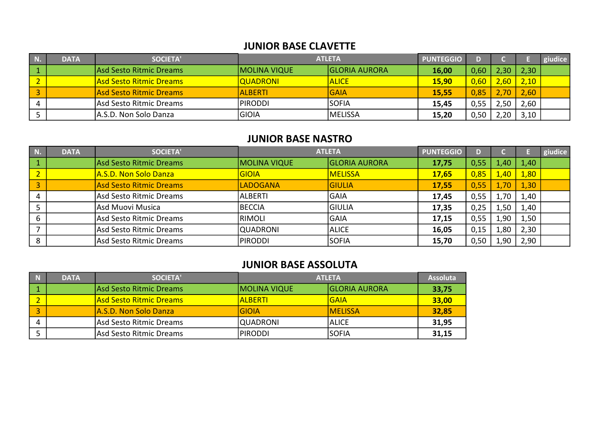#### JUNIOR BASE CLAVETTE

| N | <b>DATA</b> | <b>SOCIETA'</b>                | <b>ATLETA</b>       |                      | <b>PUNTEGGIO</b> |      |                   |      | giudice |
|---|-------------|--------------------------------|---------------------|----------------------|------------------|------|-------------------|------|---------|
|   |             | Asd Sesto Ritmic Dreams        | <b>MOLINA VIQUE</b> | <b>GLORIA AURORA</b> | 16,00            | 0,60 | $\angle 30^\circ$ | 2,30 |         |
|   |             | <b>Asd Sesto Ritmic Dreams</b> | <b>QUADRONI</b>     | <b>ALICE</b>         | <b>15,90</b>     | 0,60 | ,60               | 2,10 |         |
|   |             | lAsd Sesto Ritmic Dreams       | <b>ALBERTI</b>      | <b>GAIA</b>          | 15,55            | 0,85 | 70                | 2,60 |         |
|   |             | Asd Sesto Ritmic Dreams        | IPIRODDI            | <b>SOFIA</b>         | 15,45            | 0,55 | 2,50              | 2,60 |         |
|   |             | IA.S.D. Non Solo Danza         | <b>GIOIA</b>        | <b>MELISSA</b>       | 15,20            | 0,50 | ,20               | 3,10 |         |

#### JUNIOR BASE NASTRO

| $\blacksquare$ N. | <b>DATA</b> | <b>SOCIETA'</b>                | <b>ATLETA</b>   |                      | <b>PUNTEGGIO</b> |      |       |      | giudice |
|-------------------|-------------|--------------------------------|-----------------|----------------------|------------------|------|-------|------|---------|
|                   |             | Asd Sesto Ritmic Dreams        | MOLINA VIQUE    | <b>GLORIA AURORA</b> | 17,75            | 0,55 | 4.407 | 1,40 |         |
|                   |             | A.S.D. Non Solo Danza          | GIOIA           | <b>MELISSA</b>       | <b>17,65</b>     | 0,85 | ,40   | 1,80 |         |
| 3                 |             | <b>Asd Sesto Ritmic Dreams</b> | LADOGANA        | <b>GIULIA</b>        | 17,55            | 0,55 | 1,70  | 1,30 |         |
|                   |             | Asd Sesto Ritmic Dreams        | ALBERTI         | <b>GAIA</b>          | 17,45            | 0,55 | 1,70  | 1,40 |         |
|                   |             | Asd Muovi Musica               | BECCIA          | <b>GIULIA</b>        | 17,35            | 0,25 | 1,50  | 1,40 |         |
|                   |             | Asd Sesto Ritmic Dreams        | RIMOLI          | GAIA                 | 17,15            | 0,55 | 1,90  | 1,50 |         |
|                   |             | Asd Sesto Ritmic Dreams        | <b>QUADRONI</b> | <b>ALICE</b>         | 16,05            | 0,15 | 1,80  | 2,30 |         |
|                   |             | Asd Sesto Ritmic Dreams        | PIRODDI         | <b>SOFIA</b>         | 15,70            | 0,50 | 1,90  | 2,90 |         |

#### JUNIOR BASE ASSOLUTA

| $\blacksquare$ | <b>DATA</b> | <b>SOCIETA'</b>         |                     | <b>ATLETA</b>         | <b>Assoluta</b> |
|----------------|-------------|-------------------------|---------------------|-----------------------|-----------------|
|                |             | Asd Sesto Ritmic Dreams | <b>MOLINA VIQUE</b> | <b>IGLORIA AURORA</b> | 33,75           |
|                |             | Asd Sesto Ritmic Dreams | <u> IALBERTI</u>    | IGAIA                 | 33,00           |
|                |             | IA.S.D. Non Solo Danza  | <b>GIOIA</b>        | <b>IMELISSA</b>       | 32,85           |
|                |             | Asd Sesto Ritmic Dreams | QUADRONI            | ALICE                 | 31,95           |
|                |             | Asd Sesto Ritmic Dreams | <b>PIRODDI</b>      | ISOFIA                | 31,15           |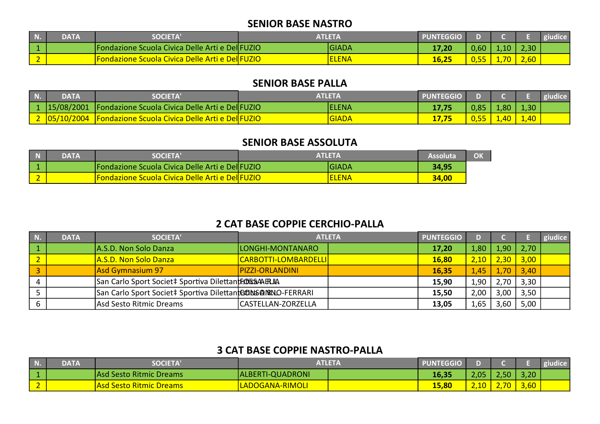#### SENIOR BASE NASTRO

| IN.                      | DATA | <b>SOCIETA'</b>                                          | <b>ATLETA</b> |              | <b>PUNTEGGIO</b> |                            |           |      |  |
|--------------------------|------|----------------------------------------------------------|---------------|--------------|------------------|----------------------------|-----------|------|--|
|                          |      | Fondazione Scuola Civica Delle Arti e DellFUZIO          |               | <b>GIADA</b> | 17,20            | 0,60                       | $10^{-1}$ | 2,30 |  |
| $\overline{\phantom{a}}$ |      | <u>'Fondazione Scuola Civica Delle Arti e DellFUZIO </u> |               | <b>LENA</b>  | 16,25            | <u>а гг</u><br><u>u,jj</u> | 1,70      | 2,60 |  |

#### SENIOR BASE PALLA

| <b>N.</b>      | DATA | <b>SOCIETA'</b>                                                   | <b>ATLETA</b> |        | <b>PUNTEGGIO</b> |      |      |      |  |
|----------------|------|-------------------------------------------------------------------|---------------|--------|------------------|------|------|------|--|
| $\mathsf{L}_1$ |      | 15/08/2001   Fondazione Scuola Civica Delle Arti e Del FUZIO      |               | lelena |                  | 0.85 | 1.80 | 1,30 |  |
|                |      | 2   05/10/2004   Fondazione Scuola Civica Delle Arti e Del  FUZIO |               | GIADA  |                  |      | 1,40 | 1,40 |  |

#### SENIOR BASE ASSOLUTA

| <b>DATA</b> | <b>SOCIETA'</b>                                        | <b>ATLETA</b> |       | OK |
|-------------|--------------------------------------------------------|---------------|-------|----|
|             | Fondazione Scuola Civica Delle Arti e Del FUZIO        | IGIADA        | 34,95 |    |
|             | <b>Fondazione Scuola Civica Delle Arti e Del FUZIO</b> | <b>ELENA</b>  | 34,00 |    |

## 2 CAT BASE COPPIE CERCHIO-PALLA

| N | <b>DATA</b> | SOCIETA'                                                    | <b>ATLETA</b>          | <b>PUNTEGGIO</b> |      |      |      | giudice |
|---|-------------|-------------------------------------------------------------|------------------------|------------------|------|------|------|---------|
|   |             | A.S.D. Non Solo Danza                                       | LONGHI-MONTANARO       | 17,20            | 1,80 | 1,90 | 2,70 |         |
|   |             | A.S.D. Non Solo Danza                                       | CARBOTTI-LOMBARDELLI   | 16,80            | 2,10 | 2,30 | 3,00 |         |
|   |             | Asd Gymnasium 97                                            | <b>PIZZI-ORLANDINI</b> | 16,35            | 1,45 | 1,70 | 3,40 |         |
|   |             | San Carlo Sport Societ‡ Sportiva Dilettantfs06654AFRJIA     |                        | 15,90            | 1,90 | 2,70 | 3,30 |         |
|   |             | San Carlo Sport Societ‡ Sportiva DilettantGONS@NRNO-FERRARI |                        | 15,50            | 2,00 | 3,00 | 3,50 |         |
|   |             | Asd Sesto Ritmic Dreams                                     | CASTELLAN-ZORZELLA     | 13,05            | 1,65 | .60  | 5,00 |         |

## 3 CAT BASE COPPIE NASTRO-PALLA

| N. | DATA | <b>SOCIETA'</b>               |                  | <b>PUNTEGGIO</b> |      |           |      | giudice |
|----|------|-------------------------------|------------------|------------------|------|-----------|------|---------|
|    |      | Asd Sesto Ritmic Dreams       | ALBERTI-QUADRONI | 16,35            | 2,05 | <b>TO</b> | 3,20 |         |
|    |      | <u>l Sesto Ritmic Dreams </u> | LADOGANA-RIMOLI  | 15,80            | 2,10 | ,70       | 3,60 |         |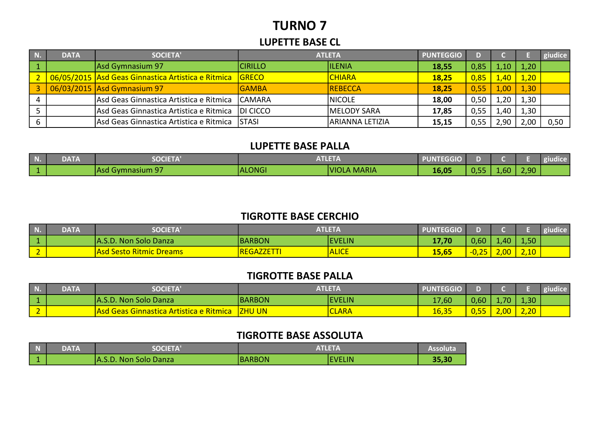# TURNO 7

#### LUPETTE BASE CL

| N | <b>DATA</b> | <b>SOCIETA'</b>                                          | <b>ATLETA</b>   |                  | <b>PUNTEGGIO</b> | D.   |              |      | giudice |
|---|-------------|----------------------------------------------------------|-----------------|------------------|------------------|------|--------------|------|---------|
|   |             | Asd Gymnasium 97                                         | <b>CIRILLO</b>  | <b>ILENIA</b>    | 18,55            | 0,85 | 1.10         | 1,20 |         |
|   |             | 06/05/2015 Asd Geas Ginnastica Artistica e Ritmica GRECO |                 | <b>CHIARA</b>    | 18,25            | 0,85 | <u>.40 I</u> | 1,20 |         |
|   |             | 06/03/2015 Asd Gymnasium 97                              | <b>GAMBA</b>    | REBECCA          | 18,25            | 0,55 | 1,00         | 1,30 |         |
|   |             | Asd Geas Ginnastica Artistica e Ritmica                  | <b>CAMARA</b>   | <b>NICOLE</b>    | 18,00            | 0,50 | 1,20         | 1,30 |         |
|   |             | Asd Geas Ginnastica Artistica e Ritmica                  | <b>DI CICCO</b> | MELODY SARA      | 17,85            | 0,55 | .40          | 1,30 |         |
|   |             | Asd Geas Ginnastica Artistica e Ritmica                  | <b>STASI</b>    | IARIANNA LETIZIA | 15,15            | 0,55 | 2,90         | 2,00 | 0,50    |

#### LUPETTE BASE PALLA

| l Nior | <b>DATA</b> | <b>EOCIETA</b><br>$-0$     | A TI E T<br>.<br>AILLIA |                              | <b>PUNTEGGIO</b> |      |                  |      | giudice |
|--------|-------------|----------------------------|-------------------------|------------------------------|------------------|------|------------------|------|---------|
|        |             | $-$<br>TAsd Gymnasium<br>. | ALONGI                  | <b>MARIA</b><br><b>VIOLA</b> | 16,05            | 0,55 | .60 <sub>l</sub> | 2,90 |         |

#### TIGROTTE BASE CERCHIO

| NЮ        | <b>DATA</b> | <b>SOCIETA</b>                 | <b>ATLETA</b>  |               | PUNTEGGIO |                      |                   |                   | <u> Aluchide</u> |
|-----------|-------------|--------------------------------|----------------|---------------|-----------|----------------------|-------------------|-------------------|------------------|
|           |             | A.S.D. Non Solo Danza          | BARBON         | <b>EVELIN</b> | 17,70     | 0.60 <sub>l</sub>    | 1.40 <sub>1</sub> | 4,50 <sub>l</sub> |                  |
| <u>. </u> |             | <b>Asd Sesto Ritmic Dreams</b> | <b>REGAZZE</b> | <b>ALICE</b>  | 15,65     | $\mathbf{r}$<br>U,ZJ | $\sim$<br>Z,UU l  | 2,10              |                  |

## TIGROTTE BASE PALLA

|          | <b>DATA</b> | <b>SOCIETA'</b>                                |               | <b>ATLETA</b> | <b>PUNTEGGIO</b> |                                 |      |      | <b>Tiudice</b> |
|----------|-------------|------------------------------------------------|---------------|---------------|------------------|---------------------------------|------|------|----------------|
|          |             | A.S.D. Non Solo Danza                          | <b>BARBON</b> | <b>EVELIN</b> | 17,60            | 0,60                            | .70  | 1,30 |                |
| <u>_</u> |             | <b>Asd Geas Ginnastica Artistica e Ritmica</b> | <b>ZHU UN</b> | <b>CLARA</b>  | 16,35            | <b>PERSONAL</b><br><u>U,55 </u> | 2,00 | 2,20 |                |

#### TIGROTTE BASE ASSOLUTA

| П | <b>DATA</b> | COCIET A              |               | $\mathbf{v}$ . The set $\mathbf{v}$ |       |  |
|---|-------------|-----------------------|---------------|-------------------------------------|-------|--|
|   |             | A.S.D. Non Solo Danza | <b>BARBON</b> | <b>EVELIN</b>                       | 35,30 |  |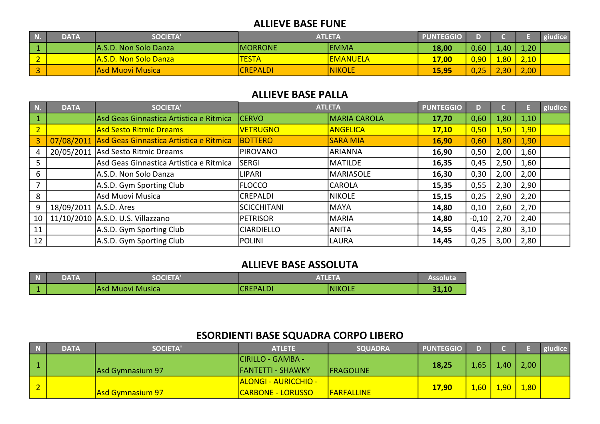#### ALLIEVE BASE FUNE

| <b>DATA</b> | <b>SOCIETA</b> '      | ATLETA          |                 | <b>PUNTEGGIO</b> |          |                  |      | iudice |
|-------------|-----------------------|-----------------|-----------------|------------------|----------|------------------|------|--------|
|             | A.S.D. Non Solo Danza | <b>MORRONE</b>  | <b>EMMA</b>     | 18,00            | 0,60     | .40 <sub>l</sub> | 1,20 |        |
|             | A.S.D. Non Solo Danza | <b>TESTA</b>    | <b>EMANUELA</b> | 17,00            | $0,90^-$ | .80 <sub>1</sub> | 2,10 |        |
|             | Asd Muovi Musica      | <b>CREPALDI</b> | <b>NIKOLE</b>   | 15,95            | 0,25     | 2,30             | 2,00 |        |

#### ALLIEVE BASE PALLA

| N.             | <b>DATA</b>            | <b>SOCIETA'</b>                                    |                    | <b>ATLETA</b>       | <b>PUNTEGGIO</b> | D)      |      |      | giudice |
|----------------|------------------------|----------------------------------------------------|--------------------|---------------------|------------------|---------|------|------|---------|
| $\mathbf{1}$   |                        | Asd Geas Ginnastica Artistica e Ritmica            | <b>CERVO</b>       | <b>MARIA CAROLA</b> | 17,70            | 0,60    | 1,80 | 1,10 |         |
| $\overline{2}$ |                        | <b>Asd Sesto Ritmic Dreams</b>                     | <b>VETRUGNO</b>    | <b>ANGELICA</b>     | 17,10            | 0,50    | 1,50 | 1,90 |         |
| $\overline{3}$ |                        | 07/08/2011 Asd Geas Ginnastica Artistica e Ritmica | <b>BOTTERO</b>     | <b>SARA MIA</b>     | 16,90            | 0,60    | 1,80 | 1,90 |         |
| 4              |                        | 20/05/2011 Asd Sesto Ritmic Dreams                 | <b>PIROVANO</b>    | <b>ARIANNA</b>      | 16,90            | 0,50    | 2,00 | 1,60 |         |
| 5              |                        | Asd Geas Ginnastica Artistica e Ritmica            | <b>SERGI</b>       | MATILDE             | 16,35            | 0,45    | 2,50 | 1,60 |         |
| 6              |                        | A.S.D. Non Solo Danza                              | <b>LIPARI</b>      | <b>MARIASOLE</b>    | 16,30            | 0,30    | 2,00 | 2,00 |         |
| 7              |                        | A.S.D. Gym Sporting Club                           | <b>FLOCCO</b>      | <b>CAROLA</b>       | 15,35            | 0,55    | 2,30 | 2,90 |         |
| 8              |                        | Asd Muovi Musica                                   | <b>CREPALDI</b>    | <b>NIKOLE</b>       | 15,15            | 0,25    | 2,90 | 2,20 |         |
| 9              | 18/09/2011 A.S.D. Ares |                                                    | <b>SCICCHITANI</b> | MAYA                | 14,80            | 0,10    | 2,60 | 2,70 |         |
| 10             |                        | 11/10/2010 A.S.D. U.S. Villazzano                  | <b>PETRISOR</b>    | <b>MARIA</b>        | 14,80            | $-0,10$ | 2,70 | 2,40 |         |
| 11             |                        | A.S.D. Gym Sporting Club                           | <b>CIARDIELLO</b>  | <b>ANITA</b>        | 14,55            | 0,45    | 2,80 | 3,10 |         |
| 12             |                        | A.S.D. Gym Sporting Club                           | IPOLINI            | LAURA               | 14,45            | 0,25    | 3,00 | 2,80 |         |

#### ALLIEVE BASE ASSOLUTA

| $\blacksquare$ | <b>DATA</b> | <b>SOCIETA</b>    |                 | <b>ATLETA</b> |     |  |  |
|----------------|-------------|-------------------|-----------------|---------------|-----|--|--|
|                |             | TAsd Muovi Musica | <b>CREPALDI</b> | <b>NIKOLE</b> | - 4 |  |  |

## ESORDIENTI BASE SQUADRA CORPO LIBERO

| $\overline{a}$ | DATA | <b>SOCIETA'</b>         | <b>ATLETE</b>               | <b>SQUADRA</b>    | <b>PUNTEGGIO</b>     |      |      |      | giudice |
|----------------|------|-------------------------|-----------------------------|-------------------|----------------------|------|------|------|---------|
|                |      |                         | <b>CIRILLO - GAMBA -</b>    |                   |                      |      |      |      |         |
|                |      | Asd Gymnasium 97        | <b>IFANTETTI - SHAWKY</b>   | <b>FRAGOLINE</b>  | 18,25                | 1,65 | 1,40 | 2,00 |         |
|                |      |                         | <b>ALONGI - AURICCHIO -</b> |                   |                      |      |      |      |         |
|                |      | <b>Asd Gymnasium 97</b> | <b>CARBONE - LORUSSO</b>    | <b>FARFALLINE</b> | 1,60<br><b>17,90</b> |      | 1,90 | 1,80 |         |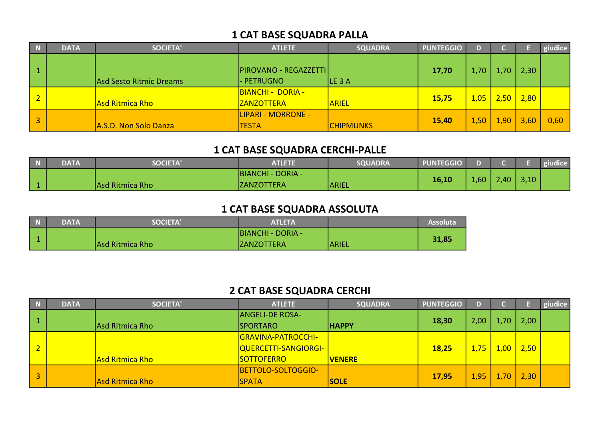## 1 CAT BASE SQUADRA PALLA

| N              | <b>DATA</b> | <b>SOCIETA'</b>         | <b>ATLETE</b>                                 | <b>SQUADRA</b>   | <b>PUNTEGGIO</b> | D.   |      |      | giudice |
|----------------|-------------|-------------------------|-----------------------------------------------|------------------|------------------|------|------|------|---------|
|                |             | Asd Sesto Ritmic Dreams | <b>PIROVANO - REGAZZETTI</b><br>- PETRUGNO    | LE 3A            | 17,70            | 1,70 | 1,70 | 2,30 |         |
| $\overline{2}$ |             | Asd Ritmica Rho         | <b>BIANCHI - DORIA -</b><br><b>ZANZOTTERA</b> | <b>ARIEL</b>     | 15,75            | 1,05 | 2,50 | 2,80 |         |
| 3              |             | A.S.D. Non Solo Danza   | LIPARI - MORRONE -<br><b>TESTA</b>            | <b>CHIPMUNKS</b> | 15,40            | 1,50 | 1,90 | 3,60 | 0,60    |

## 1 CAT BASE SQUADRA CERCHI-PALLE

| <b>DATA</b> | <b>SOCIETA</b>  | ATLETE                   | <b>SQUADRA</b> | <b>PUNTEGGIO</b> |      |      |      | giudice |
|-------------|-----------------|--------------------------|----------------|------------------|------|------|------|---------|
|             |                 | <b>BIANCHI - DORIA -</b> |                |                  |      |      |      |         |
|             | Asd Ritmica Rho | <b>ZANZOTTERA</b>        | <b>ARIEL</b>   | 16,10            | 1,60 | 2,40 | 3,10 |         |

## 1 CAT BASE SQUADRA ASSOLUTA

| $\blacksquare$ | <b>DATA</b> | <b>SOCIETA'</b> | <b>ATLETA</b>            |              | Assoluta |
|----------------|-------------|-----------------|--------------------------|--------------|----------|
|                |             |                 | <b>BIANCHI - DORIA -</b> |              |          |
|                |             | Asd Ritmica Rho | <b>IZANZOTTERA</b>       | <b>ARIEL</b> | 31,85    |

## 2 CAT BASE SQUADRA CERCHI

| N              | <b>DATA</b> | <b>SOCIETA'</b>        | <b>ATLETE</b>                | <b>SQUADRA</b> | <b>PUNTEGGIO</b> | D.   |                   |      | giudice |
|----------------|-------------|------------------------|------------------------------|----------------|------------------|------|-------------------|------|---------|
|                |             |                        | <b>ANGELI-DE ROSA-</b>       |                |                  |      |                   |      |         |
|                |             | Asd Ritmica Rho        | <b>SPORTARO</b>              | <b>HAPPY</b>   | 18,30            | 2,00 | 1,70.             | 2,00 |         |
|                |             |                        | <b>GRAVINA-PATROCCHI-</b>    |                |                  |      |                   |      |         |
| $\overline{2}$ |             |                        | <u> QUERCETTI-SANGIORGI-</u> |                | 18,25            | 1,75 | 1,00 <sub>1</sub> | 2,50 |         |
|                |             | Asd Ritmica Rho        | <b>SOTTOFERRO</b>            | <b>VENERE</b>  |                  |      |                   |      |         |
|                |             |                        | BETTOLO-SOLTOGGIO-           |                |                  |      |                   |      |         |
| $\overline{3}$ |             | <b>Asd Ritmica Rho</b> | <b>SPATA</b>                 | <b>SOLE</b>    | 17,95            | 1,95 | ,70               | 2,30 |         |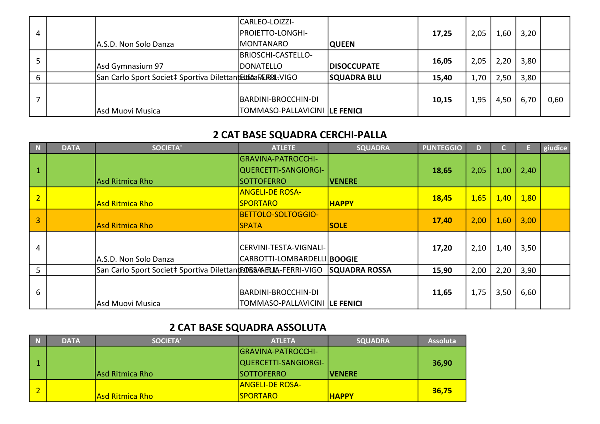|   |                                                                     | CARLEO-LOIZZI-                       |                    |       |      |      |      |      |
|---|---------------------------------------------------------------------|--------------------------------------|--------------------|-------|------|------|------|------|
| 4 |                                                                     | <b> PROIETTO-LONGHI-</b>             |                    | 17,25 | 2,05 | 1,60 | 3,20 |      |
|   | A.S.D. Non Solo Danza                                               | <b>MONTANARO</b>                     | <b>QUEEN</b>       |       |      |      |      |      |
|   |                                                                     | BRIOSCHI-CASTELLO-                   |                    |       |      |      |      |      |
|   | Asd Gymnasium 97                                                    | <b>DONATELLO</b>                     | <b>DISOCCUPATE</b> | 16,05 | 2,05 | 2,20 | 3,80 |      |
|   | San Carlo Sport Societ‡ Sportiva Dilettant <b>EstiAaFÆRRL-</b> VIGO |                                      | <b>SQUADRA BLU</b> | 15,40 | 1,70 | 2,50 | 3,80 |      |
|   |                                                                     |                                      |                    |       |      |      |      |      |
|   |                                                                     | BARDINI-BROCCHIN-DI                  |                    | 10,15 | 1,95 | 4,50 | 6,70 | 0,60 |
|   | Asd Muovi Musica                                                    | <b>TOMMASO-PALLAVICINI LE FENICI</b> |                    |       |      |      |      |      |

## 2 CAT BASE SQUADRA CERCHI-PALLA

| $\blacksquare$          | <b>DATA</b> | <b>SOCIETA'</b>                                                            | <b>ATLETE</b>                       | <b>SQUADRA</b>       | <b>PUNTEGGIO</b> | D)   |      |      | giudice |
|-------------------------|-------------|----------------------------------------------------------------------------|-------------------------------------|----------------------|------------------|------|------|------|---------|
|                         |             |                                                                            | GRAVINA-PATROCCHI-                  |                      |                  |      |      |      |         |
| $\vert$ 1               |             |                                                                            | QUERCETTI-SANGIORGI-                |                      | 18,65            | 2,05 | 1,00 | 2,40 |         |
|                         |             | Asd Ritmica Rho                                                            | <b>SOTTOFERRO</b>                   | <b>NENERE</b>        |                  |      |      |      |         |
| $\overline{2}$          |             |                                                                            | <b>ANGELI-DE ROSA-</b>              |                      |                  |      |      |      |         |
|                         |             | <b>Asd Ritmica Rho</b>                                                     | <b>SPORTARO</b>                     | <b>HAPPY</b>         | 18,45            | 1,65 | 1,40 | 1,80 |         |
| $\overline{\mathbf{3}}$ |             |                                                                            | BETTOLO-SOLTOGGIO-                  |                      | 17,40            | 2,00 | 1,60 | 3,00 |         |
|                         |             | Asd Ritmica Rho                                                            | <b>SPATA</b>                        | <b>SOLE</b>          |                  |      |      |      |         |
|                         |             |                                                                            |                                     |                      |                  |      |      |      |         |
| $\overline{4}$          |             |                                                                            | CERVINI-TESTA-VIGNALI-              |                      | 17,20            | 2,10 | 1,40 | 3,50 |         |
|                         |             | A.S.D. Non Solo Danza                                                      | CARBOTTI-LOMBARDELLI  <b>BOOGIE</b> |                      |                  |      |      |      |         |
| 5                       |             | San Carlo Sport Societ‡ Sportiva Dilettan <b>tFJOSSAAER.IIA-FERRI-VIGO</b> |                                     | <b>SQUADRA ROSSA</b> | 15,90            | 2,00 | 2,20 | 3,90 |         |
|                         |             |                                                                            |                                     |                      |                  |      |      |      |         |
| 6                       |             |                                                                            | BARDINI-BROCCHIN-DI                 |                      | 11,65            | 1,75 | 3,50 | 6,60 |         |
|                         |             | Asd Muovi Musica                                                           | TOMMASO-PALLAVICINI LE FENICI       |                      |                  |      |      |      |         |

## 2 CAT BASE SQUADRA ASSOLUTA

| $\blacksquare$ | <b>DATA</b> | <b>SOCIETA'</b> | <b>ATLETA</b>             | <b>SQUADRA</b> | <b>Assoluta</b> |
|----------------|-------------|-----------------|---------------------------|----------------|-----------------|
|                |             |                 | <b>GRAVINA-PATROCCHI-</b> |                |                 |
| $\vert$ 1      |             |                 | QUERCETTI-SANGIORGI-      |                | 36,90           |
|                |             | Asd Ritmica Rho | <b>SOTTOFERRO</b>         | <b>IVENERE</b> |                 |
|                |             |                 | <u> IANGELI-DE ROSA-</u>  |                |                 |
|                |             | Asd Ritmica Rho | <b>SPORTARO</b>           | <b>HAPPY</b>   | 36,75           |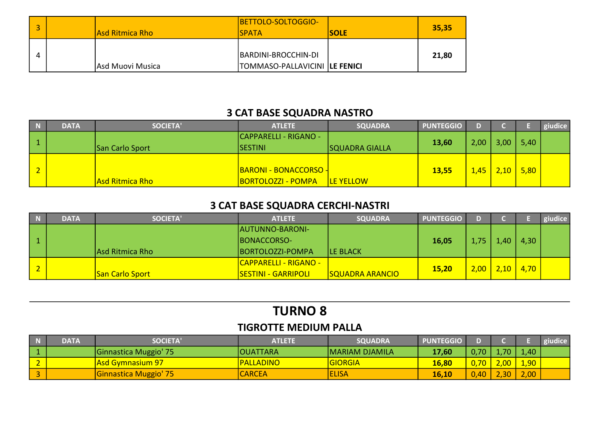| Asd Ritmica Rho  | BETTOLO-SOLTOGGIO-<br><b>ISPATA</b>                   | <b>ISOLE</b> | 35,35 |
|------------------|-------------------------------------------------------|--------------|-------|
| Asd Muovi Musica | BARDINI-BROCCHIN-DI<br>TOMMASO-PALLAVICINI  LE FENICI |              | 21,80 |

## 3 CAT BASE SQUADRA NASTRO

| $\overline{N}$ | <b>DATA</b> | <b>SOCIETA'</b> | <b>ATLETE</b>                | <b>SQUADRA</b>        | <b>PUNTEGGIO</b> | n    |       |      | giudice |
|----------------|-------------|-----------------|------------------------------|-----------------------|------------------|------|-------|------|---------|
|                |             |                 | <b>CAPPARELLI - RIGANO -</b> |                       |                  |      | 3,00  | 5,40 |         |
|                |             | San Carlo Sport | <b>SESTINI</b>               | <b>SQUADRA GIALLA</b> | 13,60            | 2,00 |       |      |         |
|                |             |                 |                              |                       |                  |      |       |      |         |
| $\mathsf{L}$   |             |                 | <b>BARONI - BONACCORSO -</b> |                       | 13,55            | 1,45 | 2,10/ | 5,80 |         |
|                |             | Asd Ritmica Rho | <b>BORTOLOZZI - POMPA</b>    | <b>LE YELLOW</b>      |                  |      |       |      |         |

## 3 CAT BASE SQUADRA CERCHI-NASTRI

| <b>DATA</b> | <b>SOCIETA'</b>        | <b>ATLETE</b>                | <b>SQUADRA</b>         | <b>PUNTEGGIO</b> | D.   |      |             | giudice |
|-------------|------------------------|------------------------------|------------------------|------------------|------|------|-------------|---------|
|             |                        | AUTUNNO-BARONI-              |                        |                  |      |      |             |         |
|             |                        | BONACCORSO-                  |                        | 16,05            | 1,75 | 1.40 | 4,30        |         |
|             | Asd Ritmica Rho        | BORTOLOZZI-POMPA             | <b>LE BLACK</b>        |                  |      |      |             |         |
|             |                        | <b>CAPPARELLI - RIGANO -</b> |                        |                  |      |      |             |         |
|             | <b>San Carlo Sport</b> | <u> SESTINI - GARRIPOLI</u>  | <b>SQUADRA ARANCIO</b> | 15,20            | 2,00 |      | $2,10$ 4,70 |         |

# TURNO 8

#### TIGROTTE MEDIUM PALLA

|                    | <b>DATA</b> | <b>SOCIETA</b>          | <b>ATLETE</b>   | <b>SQUADRA</b>        | <b>PUNTEGGIO</b> |      |                   |      | giudice <sup>1</sup> |
|--------------------|-------------|-------------------------|-----------------|-----------------------|------------------|------|-------------------|------|----------------------|
|                    |             | Ginnastica Muggio' 75   | <b>OUATTARA</b> | <b>MARIAM DJAMILA</b> | 17,60            | 0,70 | .70               | 1,40 |                      |
| $\sim$<br><u>L</u> |             | <b>Asd Gymnasium 97</b> | PALLADINO       | <b>GIORGIA</b>        | 16,80            | 0,70 | 2,00 <sub>l</sub> | 1,90 |                      |
|                    |             | Ginnastica Muggio' 75   | <b>CARCEA</b>   | <b>ELISA</b>          | 16,10            | ,40  | 2.30 <sub>1</sub> | 2,00 |                      |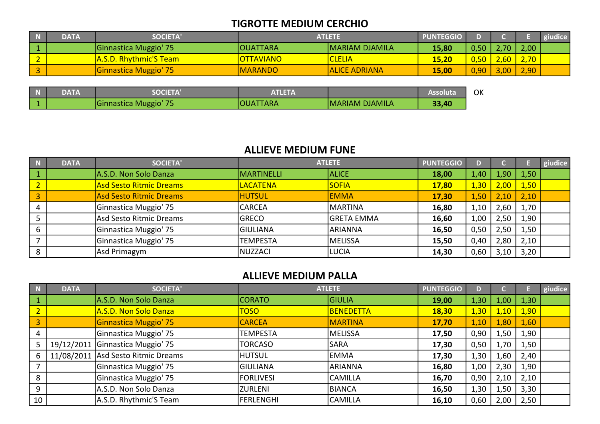#### TIGROTTE MEDIUM CERCHIO

| <b>DATA</b> | <b>SOCIETA'</b>               | <b>ATLETE</b>    |                       | <b>PUNTEGGIO</b> |      |                             |      | giudice |
|-------------|-------------------------------|------------------|-----------------------|------------------|------|-----------------------------|------|---------|
|             | Ginnastica Muggio' 75         | <b>OUATTARA</b>  | <b>MARIAM DJAMILA</b> | 15,80            | 0,50 | 2.70                        | 2,00 |         |
|             | <b>A.S.D. Rhythmic'S Team</b> | <b>OTTAVIANO</b> | <b>CLELIA</b>         | 15,20            | 0,50 | $.60$ $\mid$                | 2,70 |         |
|             | Ginnastica Muggio' 75         | <b>MARANDO</b>   | <b>ALICE ADRIANA</b>  | 15,00            | 0,90 | 3,00 <sub>1</sub><br>$\sim$ | 2,90 |         |

| IN. | <b>DATA</b> | <b>SOCIETA</b>                              | NIHA<br>EN L |                       | <b>ASSOIUta</b> | ОК |
|-----|-------------|---------------------------------------------|--------------|-----------------------|-----------------|----|
|     |             | $\overline{ }$<br><b>Ginnastica Muggio'</b> | TARA<br>OUAT | <b>MARIAM DJAMILA</b> | 33,40           |    |

#### ALLIEVE MEDIUM FUNE

| $\overline{\phantom{a}}$ N | <b>DATA</b> | <b>SOCIETA'</b>                |                 | <b>ATLETE</b>     | <b>PUNTEGGIO</b> |      |        |      | giudice |
|----------------------------|-------------|--------------------------------|-----------------|-------------------|------------------|------|--------|------|---------|
| $\vert$ 1                  |             | A.S.D. Non Solo Danza          | MARTINELLI      | <b>ALICE</b>      | 18,00            | 1,40 | 4,90'' | 1,50 |         |
|                            |             | <b>Asd Sesto Ritmic Dreams</b> | <b>LACATENA</b> | <b>SOFIA</b>      | <b>17,80</b>     | 1,30 | 2,00   | 1,50 |         |
| $\vert$ 3                  |             | Asd Sesto Ritmic Dreams        | <b>HUTSUL</b>   | <b>EMMA</b>       | 17,30            | 1,50 | 2,10   | 2,10 |         |
| 4                          |             | Ginnastica Muggio' 75          | <b>CARCEA</b>   | <b>MARTINA</b>    | 16,80            | 1,10 | 2,60   | 1,70 |         |
|                            |             | Asd Sesto Ritmic Dreams        | <b>GRECO</b>    | <b>GRETA EMMA</b> | 16,60            | 1,00 | 2,50   | 1,90 |         |
|                            |             | Ginnastica Muggio' 75          | <b>GIULIANA</b> | <b>ARIANNA</b>    | 16,50            | 0,50 | 2,50   | 1,50 |         |
|                            |             | Ginnastica Muggio' 75          | <b>TEMPESTA</b> | <b>MELISSA</b>    | 15,50            | 0,40 | 2,80   | 2,10 |         |
| 8                          |             | Asd Primagym                   | NUZZACI         | <b>LUCIA</b>      | 14,30            | 0,60 | 3,10   | 3,20 |         |

## ALLIEVE MEDIUM PALLA

|               | <b>DATA</b> | <b>SOCIETA'</b>                    |                  | <b>ATLETE</b>    | <b>PUNTEGGIO</b> | D)   |      |      | giudice |
|---------------|-------------|------------------------------------|------------------|------------------|------------------|------|------|------|---------|
|               |             | A.S.D. Non Solo Danza              | <b>CORATO</b>    | <b>GIULIA</b>    | 19,00            | 1,30 | 1,00 | 1,30 |         |
| $\mathcal{D}$ |             | A.S.D. Non Solo Danza              | <b>TOSO</b>      | <b>BENEDETTA</b> | <b>18,30</b>     | 1,30 | 1,10 | 1,90 |         |
| 3             |             | Ginnastica Muggio' 75              | <b>CARCEA</b>    | <b>MARTINA</b>   | 17,70            | 1,10 | 1,80 | 1,60 |         |
| 4             |             | Ginnastica Muggio' 75              | <b>TEMPESTA</b>  | MELISSA          | 17,50            | 0,90 | 1,50 | 1,90 |         |
|               | 19/12/2011  | Ginnastica Muggio' 75              | <b>TORCASO</b>   | <b>SARA</b>      | 17,30            | 0,50 | 1,70 | 1,50 |         |
| 6             |             | 11/08/2011 Asd Sesto Ritmic Dreams | <b>HUTSUL</b>    | <b>EMMA</b>      | 17,30            | 1,30 | 1,60 | 2,40 |         |
|               |             | Ginnastica Muggio' 75              | <b>GIULIANA</b>  | ARIANNA          | 16,80            | 1,00 | 2,30 | 1,90 |         |
| 8             |             | Ginnastica Muggio' 75              | <b>FORLIVESI</b> | <b>CAMILLA</b>   | 16,70            | 0,90 | 2,10 | 2,10 |         |
| 9             |             | A.S.D. Non Solo Danza              | IZURLENI         | BIANCA           | 16,50            | 1,30 | 1,50 | 3,30 |         |
| 10            |             | A.S.D. Rhythmic'S Team             | <b>FERLENGHI</b> | <b>CAMILLA</b>   | 16,10            | 0,60 | 2,00 | 2,50 |         |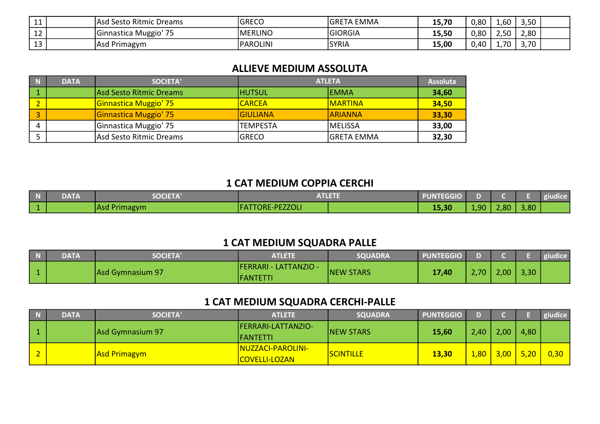| $\overline{A}$<br>-- | l Sesto Ritmic Dreams<br>Asd | <b>GRECO</b>   | <b>GRETA</b><br>EMMA) | 1 E 7 N<br>13,7 | 0,80 | $\overline{1,60}$ | 3,50 |  |
|----------------------|------------------------------|----------------|-----------------------|-----------------|------|-------------------|------|--|
| $\sim$<br>ᅩᄼ         | — —<br>Ginnastica Muggio'    | <b>MERLINO</b> | <b>GIORGIA</b>        | 15,50           | 0,80 | ∩ ⊼י<br>.         | 2,80 |  |
| $\sim$<br>ᅩJ         | Asd Primagym                 | PAROLINI       | <b>SYRIA</b>          | 15,00           | 0,40 | .70               | 3,70 |  |

#### ALLIEVE MEDIUM ASSOLUTA

| N | <b>DATA</b> | <b>SOCIETA'</b>              | <b>ATLETA</b>   | <b>Assoluta</b>   |       |
|---|-------------|------------------------------|-----------------|-------------------|-------|
|   |             | Asd Sesto Ritmic Dreams      | <b>HUTSUL</b>   | lemma             | 34,60 |
|   |             | <b>Ginnastica Muggio' 75</b> | <b>CARCEA</b>   | <b>IMARTINA</b>   | 34,50 |
|   |             | Ginnastica Muggio' 75        | IGIULIANA       | <b>ARIANNA</b>    | 33,30 |
| Д |             | Ginnastica Muggio' 75        | <b>TEMPESTA</b> | <b>MELISSA</b>    | 33,00 |
|   |             | Asd Sesto Ritmic Dreams      | <b>GRECO</b>    | <b>GRETA EMMA</b> | 32,30 |

#### 1 CAT MEDIUM COPPIA CERCHI

| <b>DATA</b> | <b>SOCIETA</b> | .                      | <b>PUNTEGGIO</b> |      |      |      | giudice |
|-------------|----------------|------------------------|------------------|------|------|------|---------|
|             | Asd Primagym   | <b>FATTORE-PEZZOLI</b> | 15,30            | 1,90 | 2,80 | 3,80 |         |

## 1 CAT MEDIUM SQUADRA PALLE

| <b>DATA</b> | <b>SOCIETA</b>   | ATLETE                                           | <b>SQUADRA</b>   | <b>PUNTEGGIO</b> |      |      |      | giudice |
|-------------|------------------|--------------------------------------------------|------------------|------------------|------|------|------|---------|
|             | Asd Gymnasium 97 | <b>FERRARI - LATTANZIO -</b><br><b>IFANTETTI</b> | <b>NEW STARS</b> | 17,40            | 2,70 | 2,00 | 3,30 |         |

## 1 CAT MEDIUM SQUADRA CERCHI-PALLE

| <b>DATA</b> | <b>SOCIETA'</b>     | <b>ATLETE</b>                             | <b>SQUADRA</b>   | <b>PUNTEGGIO</b> | n.   |        |      | giudice |
|-------------|---------------------|-------------------------------------------|------------------|------------------|------|--------|------|---------|
|             | Asd Gymnasium 97    | <b>IFERRARI-LATTANZIO-</b><br>IFANTETTI   | <b>NEW STARS</b> | 15,60            | 2,40 | 2,00   | 4,80 |         |
|             | <b>Asd Primagym</b> | NUZZACI-PAROLINI-<br><b>COVELLI-LOZAN</b> | <b>SCINTILLE</b> | 13,30            | 1,80 | $3,00$ | 5,20 | 0,30    |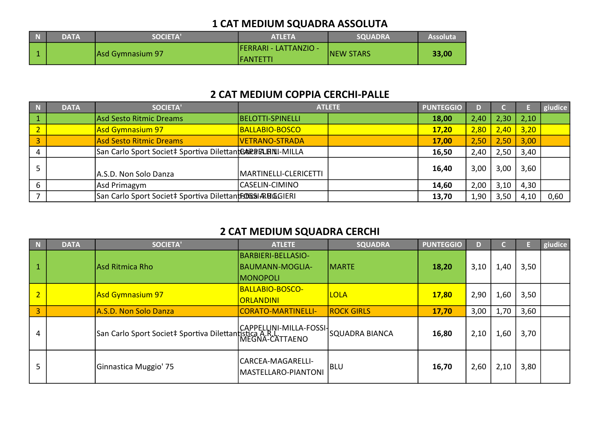## 1 CAT MEDIUM SQUADRA ASSOLUTA

| <b>DATA</b> | <b>SOCIETA'</b>  | <b>ATLETA</b>                              | <b>SOUADRA</b>    | <b>Assoluta</b> |
|-------------|------------------|--------------------------------------------|-------------------|-----------------|
|             | Asd Gymnasium 97 | <b>IFERRARI - LATTANZIO -</b><br>IFANTETTI | <b>INEW STARS</b> | 33,00           |

#### 2 CAT MEDIUM COPPIA CERCHI-PALLE

| <b>DATA</b> | <b>SOCIETA'</b>                                            |                       | <b>ATLETE</b> | <b>PUNTEGGIO</b> | D)   |      |             | giudice |
|-------------|------------------------------------------------------------|-----------------------|---------------|------------------|------|------|-------------|---------|
|             | Asd Sesto Ritmic Dreams                                    | BELOTTI-SPINELLI      |               | 18,00            | 2,40 | 2,30 | 2,10        |         |
|             | Asd Gymnasium 97                                           | BALLABIO-BOSCO        |               | 17,20            | 2,80 |      | $2,40$ 3,20 |         |
|             | Asd Sesto Ritmic Dreams                                    | VETRANO-STRADA        |               | 17,00            | 2,50 | 2,50 | 3,00        |         |
|             | San Carlo Sport Societ‡ Sportiva DilettantGARERLENII-MILLA |                       |               | 16,50            | 2,40 | 2,50 | 3,40        |         |
|             | A.S.D. Non Solo Danza                                      | MARTINELLI-CLERICETTI |               | 16,40            | 3,00 | 3,00 | 3,60        |         |
|             | Asd Primagym                                               | CASELIN-CIMINO        |               | 14,60            | 2,00 | 3,10 | 4,30        |         |
|             | San Carlo Sport Societ‡ Sportiva Dilettantistical RuGGIERI |                       |               | 13,70            | 1,90 | 3,50 | 4,10        | 0,60    |

## 2 CAT MEDIUM SQUADRA CERCHI

| N              | <b>DATA</b> | <b>SOCIETA'</b>                                                                                          | <b>ATLETE</b>                            | <b>SQUADRA</b>    | <b>PUNTEGGIO</b> | D    |      |      | giudice |
|----------------|-------------|----------------------------------------------------------------------------------------------------------|------------------------------------------|-------------------|------------------|------|------|------|---------|
|                |             | Asd Ritmica Rho                                                                                          | BARBIERI-BELLASIO-<br>BAUMANN-MOGLIA-    | <b>MARTE</b>      | 18,20            | 3,10 | 1,40 | 3,50 |         |
|                |             |                                                                                                          | <b>MONOPOLI</b>                          |                   |                  |      |      |      |         |
| $\overline{2}$ |             | Asd Gymnasium 97                                                                                         | BALLABIO-BOSCO-<br><b>ORLANDINI</b>      | <b>LOLA</b>       | 17,80            | 2,90 | 1,60 | 3,50 |         |
| 3              |             | A.S.D. Non Solo Danza                                                                                    | CORATO-MARTINELLI-                       | <b>ROCK GIRLS</b> | 17,70            | 3,00 | 1,70 | 3,60 |         |
| 4              |             | CAPPELLINI-MILLA-FOSSI <br>  San Carlo Sport Societ‡ Sportiva Dilettantistica A.R.L.<br>  MEGNA-CATTAENO |                                          | SQUADRA BIANCA    | 16,80            | 2,10 | 1,60 | 3,70 |         |
| 5              |             | Ginnastica Muggio' 75                                                                                    | CARCEA-MAGARELLI-<br>MASTELLARO-PIANTONI | <b>BLU</b>        | 16,70            | 2,60 | 2,10 | 3,80 |         |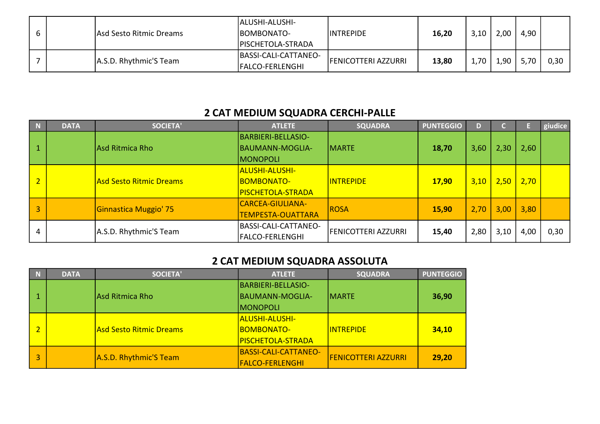|  |                         | <b>ALUSHI-ALUSHI-</b>    |                            |       |      |      |      |      |
|--|-------------------------|--------------------------|----------------------------|-------|------|------|------|------|
|  | Asd Sesto Ritmic Dreams | BOMBONATO-               | <b>INTREPIDE</b>           | 16,20 | 3,10 | 2,00 | 4,90 |      |
|  |                         | <b>PISCHETOLA-STRADA</b> |                            |       |      |      |      |      |
|  | A.S.D. Rhythmic'S Team  | BASSI-CALI-CATTANEO-     | <b>FENICOTTERI AZZURRI</b> | 13,80 | ,70  | 1,90 |      | 0,30 |
|  |                         | <b>FALCO-FERLENGHI</b>   |                            |       |      |      |      |      |

## 2 CAT MEDIUM SQUADRA CERCHI-PALLE

| N  | <b>DATA</b> | <b>SOCIETA'</b>          | <b>ATLETE</b>                                      | <b>SQUADRA</b>             | <b>PUNTEGGIO</b> | D    |       |      | giudice |
|----|-------------|--------------------------|----------------------------------------------------|----------------------------|------------------|------|-------|------|---------|
|    |             | Asd Ritmica Rho          | BARBIERI-BELLASIO-<br>BAUMANN-MOGLIA-<br> MONOPOLI | <b>MARTE</b>               | 18,70            | 3,60 | 2,30' | 2,60 |         |
| C. |             | lAsd Sesto Ritmic Dreams | <b>ALUSHI-ALUSHI-</b><br>BOMBONATO-                | <b>INTREPIDE</b>           | <b>17,90</b>     | 3,10 | 2,50  | 2,70 |         |
|    |             |                          | <u> PISCHETOLA-STRADA_</u>                         |                            |                  |      |       |      |         |
| 3  |             | Ginnastica Muggio' 75    | CARCEA-GIULIANA-<br><b>TEMPESTA-OUATTARA</b>       | ROSA                       | 15,90            | 2,70 | 3,00  | 3,80 |         |
| 4  |             | A.S.D. Rhythmic'S Team   | BASSI-CALI-CATTANEO-<br>FALCO-FERLENGHI            | <b>FENICOTTERI AZZURRI</b> | 15,40            | 2,80 | 3,10  | 4,00 | 0,30    |

## 2 CAT MEDIUM SQUADRA ASSOLUTA

| $\blacksquare$ | <b>DATA</b> | <b>SOCIETA'</b>                | <b>ATLETE</b>                | <b>SQUADRA</b>             | <b>PUNTEGGIO</b> |
|----------------|-------------|--------------------------------|------------------------------|----------------------------|------------------|
|                |             |                                | BARBIERI-BELLASIO-           |                            |                  |
|                |             | lAsd Ritmica Rho               | BAUMANN-MOGLIA-              | <b>IMARTE</b>              | 36,90            |
|                |             |                                | <b>IMONOPOLI</b>             |                            |                  |
|                |             |                                | <mark> ALUSHI-ALUSHI-</mark> |                            |                  |
|                |             | <b>Asd Sesto Ritmic Dreams</b> | <u> IBOMBONATO-</u>          | <b>INTREPIDE</b>           | 34,10            |
|                |             |                                | <u> PISCHETOLA-STRADA</u>    |                            |                  |
|                |             |                                | BASSI-CALI-CATTANEO-         | <b>FENICOTTERI AZZURRI</b> | 29,20            |
|                |             | A.S.D. Rhythmic'S Team         | <b>FALCO-FERLENGHI</b>       |                            |                  |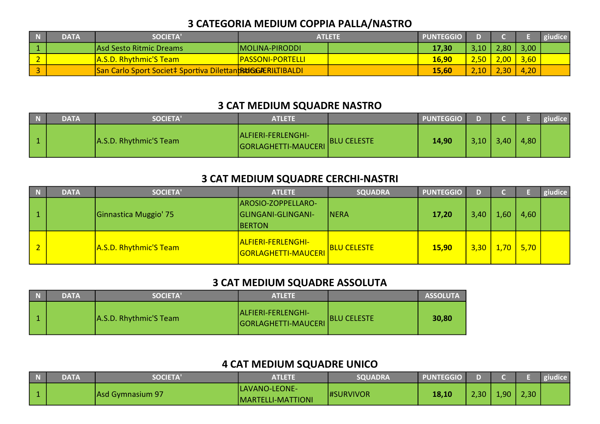## 3 CATEGORIA MEDIUM COPPIA PALLA/NASTRO

|                  | <b>DATA</b> | <b>SOCIETA'</b>                                            | <b>ATLETE</b>             | <b>PUNTEGGIO</b> |      |      |               | giudice |
|------------------|-------------|------------------------------------------------------------|---------------------------|------------------|------|------|---------------|---------|
|                  |             | IAsd Sesto Ritmic Dreams                                   | MOLINA-PIRODDI            | 17,30            | 3,10 | 2,80 | 3,00          |         |
| $\sim$<br>$\sim$ |             | A.S.D. Rhythmic'S Team                                     | <u> PASSONI-PORTELLI_</u> | 16,90            | 2,50 | 2,00 | $\sqrt{3,60}$ |         |
|                  |             | San Carlo Sport Societ‡ Sportiva DilettantBUGGGÆRILTIBALDI |                           | 15,60            | 2,10 |      | 4,20          |         |

## 3 CAT MEDIUM SQUADRE NASTRO

| <b>DATA</b> | <b>SOCIETA'</b>        | <b>ATLETE</b>                             |                    | <b>PUNTEGGIO</b> |      |      |      | giudice |
|-------------|------------------------|-------------------------------------------|--------------------|------------------|------|------|------|---------|
|             | A.S.D. Rhythmic'S Team | ALFIERI-FERLENGHI-<br>GORLAGHETTI-MAUCERI | <b>BLU CELESTE</b> | 14,90            | 3,10 | 3,40 | 4,80 |         |

#### 3 CAT MEDIUM SQUADRE CERCHI-NASTRI

|                          | <b>DATA</b> | <b>SOCIETA'</b>        | <b>ATLETE</b>                                              | <b>SQUADRA</b>     | <b>PUNTEGGIO</b> | n      |                  |             | giudice |
|--------------------------|-------------|------------------------|------------------------------------------------------------|--------------------|------------------|--------|------------------|-------------|---------|
|                          |             | Ginnastica Muggio' 75  | AROSIO-ZOPPELLARO-<br>GLINGANI-GLINGANI-<br><b>IBERTON</b> | <b>NERA</b>        | 17,20            | 3,40   | .60 <sub>1</sub> | 4,60        |         |
| $\overline{\phantom{a}}$ |             | A.S.D. Rhythmic'S Team | <u> ALFIERI-FERLENGHI-</u><br><b>GORLAGHETTI-MAUCERI</b>   | <b>BLU CELESTE</b> | <b>15,90</b>     | $3,30$ |                  | $1,70$ 5,70 |         |

#### 3 CAT MEDIUM SQUADRE ASSOLUTA

| $\blacksquare$ | <b>DATA</b> | <b>SOCIETA'</b>        | <b>ATLETE</b>                             |                    | <b>ASSOLUTA</b> |
|----------------|-------------|------------------------|-------------------------------------------|--------------------|-----------------|
|                |             | A.S.D. Rhythmic'S Team | ALFIERI-FERLENGHI-<br>GORLAGHETTI-MAUCERI | <b>BLU CELESTE</b> | 30,80           |

## 4 CAT MEDIUM SQUADRE UNICO

| DATA | <b>SOCIETA'</b>  | <b>ATLETE</b>                             | <b>SQUADRA</b>   | <b>PUNTEGGIO</b> |      |    |      | giudice |
|------|------------------|-------------------------------------------|------------------|------------------|------|----|------|---------|
|      | Asd Gymnasium 97 | LAVANO-LEONE-<br><b>MARTELLI-MATTIONI</b> | <b>HSURVIVOR</b> | 18,10            | 2,30 | ിറ | 2,30 |         |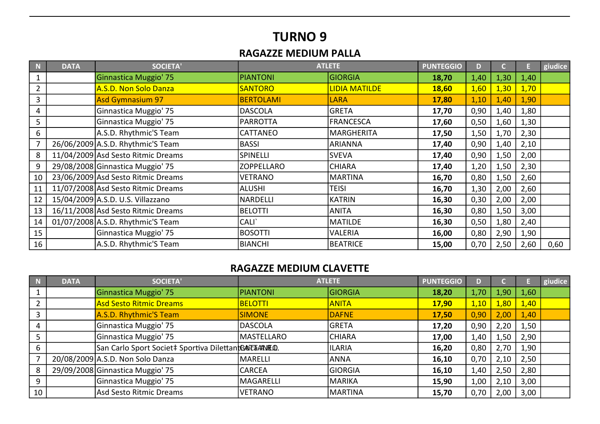## TURNO 9

## RAGAZZE MEDIUM PALLA

| N  | <b>DATA</b> | <b>SOCIETA'</b>                    |                   | <b>ATLETE</b>        | <b>PUNTEGGIO</b> | D    |      |      | giudice |
|----|-------------|------------------------------------|-------------------|----------------------|------------------|------|------|------|---------|
|    |             | Ginnastica Muggio' 75              | <b>PIANTONI</b>   | GIORGIA              | 18,70            | 1,40 | 1,30 | 1,40 |         |
|    |             | A.S.D. Non Solo Danza              | <b>SANTORO</b>    | <b>LIDIA MATILDE</b> | <b>18,60</b>     | 1,60 | 1,30 | 1,70 |         |
| 3  |             | <b>Asd Gymnasium 97</b>            | <b>BERTOLAMI</b>  | <b>LARA</b>          | 17,80            | 1,10 | 1,40 | 1,90 |         |
| 4  |             | Ginnastica Muggio' 75              | <b>DASCOLA</b>    | <b>GRETA</b>         | 17,70            | 0,90 | 1,40 | 1,80 |         |
| 5  |             | Ginnastica Muggio' 75              | <b>PARROTTA</b>   | FRANCESCA            | 17,60            | 0,50 | 1,60 | 1,30 |         |
| 6  |             | A.S.D. Rhythmic'S Team             | <b>CATTANEO</b>   | <b>MARGHERITA</b>    | 17,50            | 1,50 | 1,70 | 2,30 |         |
| 7  |             | 26/06/2009 A.S.D. Rhythmic'S Team  | <b>BASSI</b>      | <b>ARIANNA</b>       | 17,40            | 0,90 | 1,40 | 2,10 |         |
| 8  |             | 11/04/2009 Asd Sesto Ritmic Dreams | <b>SPINELLI</b>   | <b>SVEVA</b>         | 17,40            | 0,90 | 1,50 | 2,00 |         |
| 9  |             | 29/08/2008 Ginnastica Muggio 75    | <b>ZOPPELLARO</b> | <b>CHIARA</b>        | 17,40            | 1,20 | 1,50 | 2,30 |         |
| 10 |             | 23/06/2009 Asd Sesto Ritmic Dreams | <b>VETRANO</b>    | MARTINA              | 16,70            | 0,80 | 1,50 | 2,60 |         |
| 11 |             | 11/07/2008 Asd Sesto Ritmic Dreams | ALUSHI            | <b>TEISI</b>         | 16,70            | 1,30 | 2,00 | 2,60 |         |
| 12 |             | 15/04/2009 A.S.D. U.S. Villazzano  | NARDELLI          | <b>KATRIN</b>        | 16,30            | 0,30 | 2,00 | 2,00 |         |
| 13 |             | 16/11/2008 Asd Sesto Ritmic Dreams | <b>BELOTTI</b>    | <b>ANITA</b>         | 16,30            | 0,80 | 1,50 | 3,00 |         |
| 14 |             | 01/07/2008 A.S.D. Rhythmic'S Team  | CALI`             | MATILDE              | 16,30            | 0,50 | 1,80 | 2,40 |         |
| 15 |             | Ginnastica Muggio' 75              | <b>BOSOTTI</b>    | VALERIA              | 16,00            | 0,80 | 2,90 | 1,90 |         |
| 16 |             | A.S.D. Rhythmic'S Team             | BIANCHI           | BEATRICE             | 15,00            | 0,70 | 2,50 | 2,60 | 0,60    |

#### RAGAZZE MEDIUM CLAVETTE

| -N | <b>DATA</b> | <b>SOCIETA'</b>                                       |                   | <b>ATLETE</b>  | <b>PUNTEGGIO</b> | D)   |      |      | giudice |
|----|-------------|-------------------------------------------------------|-------------------|----------------|------------------|------|------|------|---------|
|    |             | Ginnastica Muggio' 75                                 | <b>PIANTONI</b>   | <b>GIORGIA</b> | 18,20            | 1,70 | 1,90 | 1,60 |         |
|    |             | <b>Asd Sesto Ritmic Dreams</b>                        | <b>BELOTTI</b>    | <b>ANITA</b>   | <b>17,90</b>     | 1,10 | 1,80 | 1,40 |         |
|    |             | A.S.D. Rhythmic'S Team                                | <b>SIMONE</b>     | <b>DAFNE</b>   | 17,50            | 0,90 | 2,00 | 1,40 |         |
|    |             | Ginnastica Muggio' 75                                 | <b>DASCOLA</b>    | <b>GRETA</b>   | 17,20            | 0,90 | 2,20 | 1,50 |         |
|    |             | Ginnastica Muggio' 75                                 | <b>MASTELLARO</b> | <b>CHIARA</b>  | 17,00            | 1,40 | 1,50 | 2,90 |         |
| 6  |             | San Carlo Sport Societ‡ Sportiva DilettantGATETAANEQ. |                   | <b>ILARIA</b>  | 16,20            | 0,80 | 2,70 | 1,90 |         |
|    |             | 20/08/2009 A.S.D. Non Solo Danza                      | MARELLI           | <b>ANNA</b>    | 16,10            | 0,70 | 2,10 | 2,50 |         |
| 8  |             | 29/09/2008 Ginnastica Muggio 75                       | <b>CARCEA</b>     | GIORGIA        | 16,10            | 1,40 | 2,50 | 2,80 |         |
| 9  |             | Ginnastica Muggio' 75                                 | <b>MAGARELLI</b>  | <b>MARIKA</b>  | 15,90            | 1,00 | 2,10 | 3,00 |         |
| 10 |             | Asd Sesto Ritmic Dreams                               | <b>VETRANO</b>    | MARTINA        | 15,70            | 0,70 | 2,00 | 3,00 |         |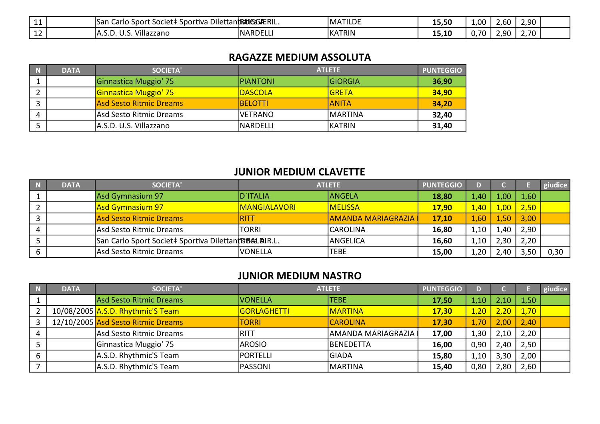| <b>++</b>    | societ <sup>+</sup><br>Carlo<br>snort.<br>Isan<br>Sportiva | a Dilettant <b>RtiGGÆRIL</b> . | <b>MATILDE</b> | 15,50                     | 1,00            | $\sim$<br>∠.bU ∴ | ിറ<br>ں رے |  |
|--------------|------------------------------------------------------------|--------------------------------|----------------|---------------------------|-----------------|------------------|------------|--|
| $\sim$<br>ᅩᄼ | Villazzano<br>. ب ب<br>ັບ.ບ.                               | <b>INARDELL</b>                | KATRIN         | - -<br>$\sqrt{2}$<br>---- | ר ∼<br>U.7<br>. | .90              | 2,70       |  |

#### RAGAZZE MEDIUM ASSOLUTA

| <b>N</b> | <b>DATA</b> | <b>SOCIETA'</b>                |                 | <b>ATLETE</b>  | <b>PUNTEGGIO</b> |
|----------|-------------|--------------------------------|-----------------|----------------|------------------|
|          |             | Ginnastica Muggio' 75          | PIANTONI        | <b>GIORGIA</b> | 36,90            |
|          |             | <b>Ginnastica Muggio' 75</b>   | <b>DASCOLA</b>  | IGRETA         | 34,90            |
|          |             | <b>Asd Sesto Ritmic Dreams</b> | <b>IBELOTTI</b> | IANITA         | 34,20            |
|          |             | Asd Sesto Ritmic Dreams        | IVETRANO        | <b>MARTINA</b> | 32,40            |
|          |             | A.S.D. U.S. Villazzano         | INARDELLI       | <b>IKATRIN</b> | 31,40            |

#### JUNIOR MEDIUM CLAVETTE

|   | <b>DATA</b> | <b>SOCIETA'</b>                                        | <b>ATLETE</b>       |                           | <b>PUNTEGGIO</b> | D).  |            |      | giudice |
|---|-------------|--------------------------------------------------------|---------------------|---------------------------|------------------|------|------------|------|---------|
|   |             | Asd Gymnasium 97                                       | D'ITALIA            | <b>ANGELA</b>             | 18,80            | 1,40 | .00.       | 1,60 |         |
|   |             | <b>Asd Gymnasium 97</b>                                | <b>MANGIALAVORI</b> | <b>IMELISSA</b>           | <b>17,90</b>     | 1,40 | $1,00^{-}$ | 2,50 |         |
|   |             | <b>Asd Sesto Ritmic Dreams</b>                         | RITT                | <b>AMANDA MARIAGRAZIA</b> | 17,10            | 1,60 | 1,50       | 3,00 |         |
|   |             | Asd Sesto Ritmic Dreams                                | <b>TORRI</b>        | <b>CAROLINA</b>           | 16,80            | 1,10 | .40        | 2,90 |         |
|   |             | San Carlo Sport Societ‡ Sportiva DilettantisBed DIR.L. |                     | ANGELICA                  | 16,60            | 1,10 | 2,30'      | 2,20 |         |
| ь |             | Asd Sesto Ritmic Dreams                                | IVONELLA            | <b>TEBE</b>               | 15,00            | 1,20 | .40        |      | 0,30    |

#### JUNIOR MEDIUM NASTRO

| <b>DATA</b> | <b>SOCIETA'</b>                    | <b>ATLETE</b>      |                    | <b>PUNTEGGIO</b> | D    |       |      | giudice |
|-------------|------------------------------------|--------------------|--------------------|------------------|------|-------|------|---------|
|             | Asd Sesto Ritmic Dreams            | <b>IVONELLA</b>    | <b>TEBE</b>        | 17,50            | 1,10 | 2.107 | 1,50 |         |
|             | 10/08/2005 A.S.D. Rhythmic'S Team  | <b>GORLAGHETTI</b> | <b>MARTINA</b>     | 17,30            | 1,20 | 2,20  | 1,70 |         |
|             | 12/10/2005 Asd Sesto Ritmic Dreams | <b>TORRI</b>       | <b>CAROLINA</b>    | 17,30            | 1,70 | 2,00  | 2,40 |         |
|             | Asd Sesto Ritmic Dreams            | <b>RITT</b>        | AMANDA MARIAGRAZIA | 17,00            | 1,30 | 2,10  | 2,20 |         |
|             | Ginnastica Muggio' 75              | <b>AROSIO</b>      | BENEDETTA          | 16,00            | 0,90 | 2,40  | 2,50 |         |
|             | A.S.D. Rhythmic'S Team             | <b>PORTELLI</b>    | <b>GIADA</b>       | 15,80            | 1,10 | , 30  | 2,00 |         |
|             | A.S.D. Rhythmic'S Team             | PASSONI            | MARTINA            | 15,40            | 0,80 | 2,80  | 2,60 |         |